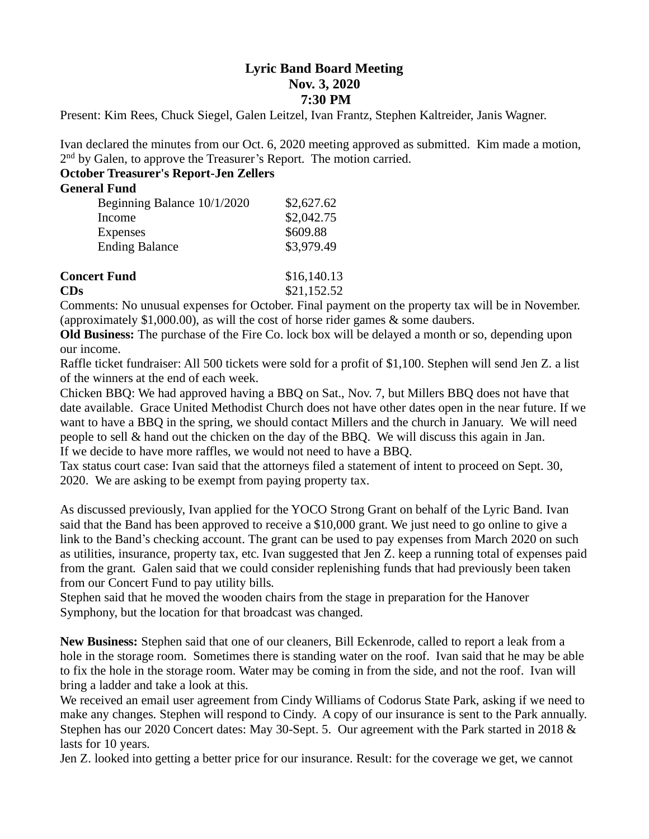## **Lyric Band Board Meeting Nov. 3, 2020 7:30 PM**

Present: Kim Rees, Chuck Siegel, Galen Leitzel, Ivan Frantz, Stephen Kaltreider, Janis Wagner.

Ivan declared the minutes from our Oct. 6, 2020 meeting approved as submitted. Kim made a motion, 2<sup>nd</sup> by Galen, to approve the Treasurer's Report. The motion carried.

## **October Treasurer's Report-Jen Zellers**

## **General Fund**

| Beginning Balance 10/1/2020 | \$2,627.62 |
|-----------------------------|------------|
| Income                      | \$2,042.75 |
| Expenses                    | \$609.88   |
| <b>Ending Balance</b>       | \$3,979.49 |
|                             |            |

| <b>Concert Fund</b> | \$16,140.13 |
|---------------------|-------------|
| CDs                 | \$21,152.52 |

Comments: No unusual expenses for October. Final payment on the property tax will be in November. (approximately \$1,000.00), as will the cost of horse rider games & some daubers.

**Old Business:** The purchase of the Fire Co. lock box will be delayed a month or so, depending upon our income.

Raffle ticket fundraiser: All 500 tickets were sold for a profit of \$1,100. Stephen will send Jen Z. a list of the winners at the end of each week.

Chicken BBQ: We had approved having a BBQ on Sat., Nov. 7, but Millers BBQ does not have that date available. Grace United Methodist Church does not have other dates open in the near future. If we want to have a BBQ in the spring, we should contact Millers and the church in January. We will need people to sell & hand out the chicken on the day of the BBQ. We will discuss this again in Jan. If we decide to have more raffles, we would not need to have a BBQ.

Tax status court case: Ivan said that the attorneys filed a statement of intent to proceed on Sept. 30, 2020. We are asking to be exempt from paying property tax.

As discussed previously, Ivan applied for the YOCO Strong Grant on behalf of the Lyric Band. Ivan said that the Band has been approved to receive a \$10,000 grant. We just need to go online to give a link to the Band's checking account. The grant can be used to pay expenses from March 2020 on such as utilities, insurance, property tax, etc. Ivan suggested that Jen Z. keep a running total of expenses paid from the grant. Galen said that we could consider replenishing funds that had previously been taken from our Concert Fund to pay utility bills.

Stephen said that he moved the wooden chairs from the stage in preparation for the Hanover Symphony, but the location for that broadcast was changed.

**New Business:** Stephen said that one of our cleaners, Bill Eckenrode, called to report a leak from a hole in the storage room. Sometimes there is standing water on the roof. Ivan said that he may be able to fix the hole in the storage room. Water may be coming in from the side, and not the roof. Ivan will bring a ladder and take a look at this.

We received an email user agreement from Cindy Williams of Codorus State Park, asking if we need to make any changes. Stephen will respond to Cindy. A copy of our insurance is sent to the Park annually. Stephen has our 2020 Concert dates: May 30-Sept. 5. Our agreement with the Park started in 2018 & lasts for 10 years.

Jen Z. looked into getting a better price for our insurance. Result: for the coverage we get, we cannot